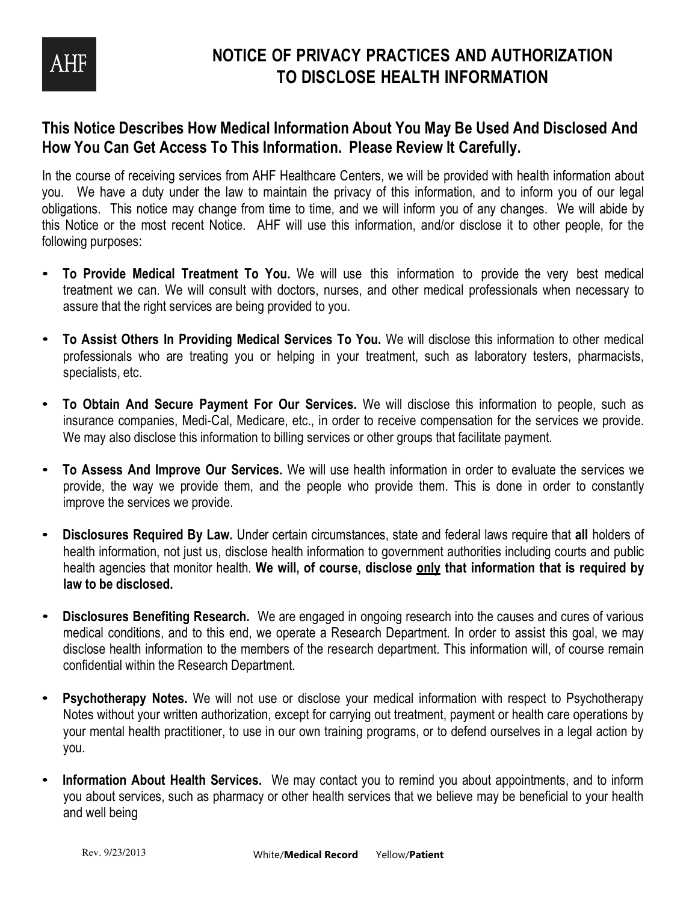

# NOTICE OF PRIVACY PRACTICES AND AUTHORIZATION TO DISCLOSE HEALTH INFORMATION

### This Notice Describes How Medical Information About You May Be Used And Disclosed And How You Can Get Access To This Information. Please Review It Carefully.

In the course of receiving services from AHF Healthcare Centers, we will be provided with health information about you. We have a duty under the law to maintain the privacy of this information, and to inform you of our legal obligations. This notice may change from time to time, and we will inform you of any changes. We will abide by this Notice or the most recent Notice. AHF will use this information, and/or disclose it to other people, for the following purposes:

- To Provide Medical Treatment To You. We will use this information to provide the very best medical treatment we can. We will consult with doctors, nurses, and other medical professionals when necessary to assure that the right services are being provided to you.
- To Assist Others In Providing Medical Services To You. We will disclose this information to other medical professionals who are treating you or helping in your treatment, such as laboratory testers, pharmacists, specialists, etc.
- To Obtain And Secure Payment For Our Services. We will disclose this information to people, such as insurance companies, Medi-Cal, Medicare, etc., in order to receive compensation for the services we provide. We may also disclose this information to billing services or other groups that facilitate payment.
- To Assess And Improve Our Services. We will use health information in order to evaluate the services we provide, the way we provide them, and the people who provide them. This is done in order to constantly improve the services we provide.
- Disclosures Required By Law. Under certain circumstances, state and federal laws require that all holders of health information, not just us, disclose health information to government authorities including courts and public health agencies that monitor health. We will, of course, disclose only that information that is required by law to be disclosed.
- Disclosures Benefiting Research. We are engaged in ongoing research into the causes and cures of various medical conditions, and to this end, we operate a Research Department. In order to assist this goal, we may disclose health information to the members of the research department. This information will, of course remain confidential within the Research Department.
- Psychotherapy Notes. We will not use or disclose your medical information with respect to Psychotherapy Notes without your written authorization, except for carrying out treatment, payment or health care operations by your mental health practitioner, to use in our own training programs, or to defend ourselves in a legal action by you.
- Information About Health Services. We may contact you to remind you about appointments, and to inform you about services, such as pharmacy or other health services that we believe may be beneficial to your health and well being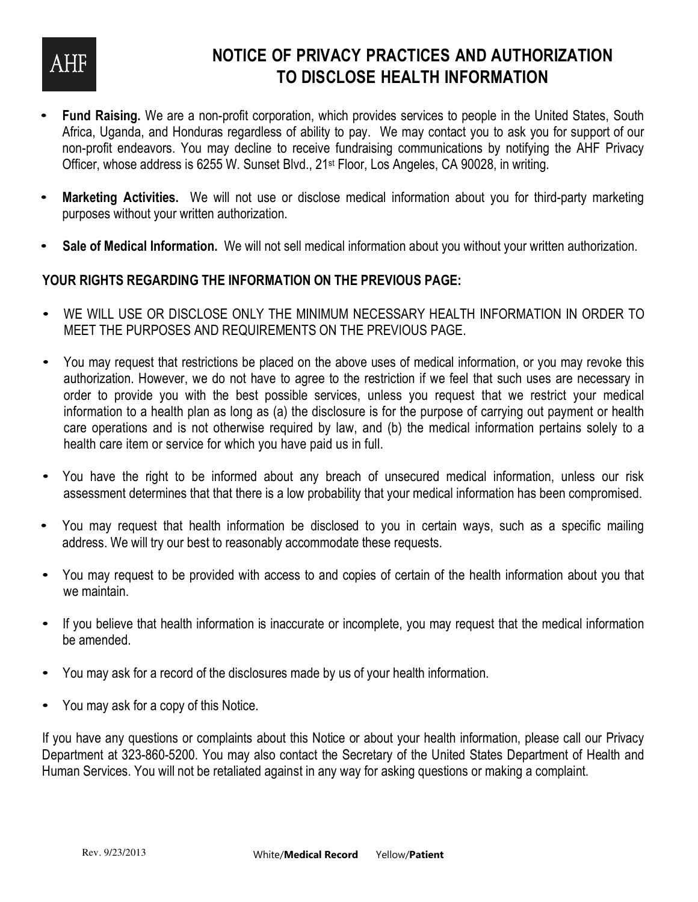

# NOTICE OF PRIVACY PRACTICES AND AUTHORIZATION TO DISCLOSE HEALTH INFORMATION

- Fund Raising. We are a non-profit corporation, which provides services to people in the United States, South Africa, Uganda, and Honduras regardless of ability to pay. We may contact you to ask you for support of our non-profit endeavors. You may decline to receive fundraising communications by notifying the AHF Privacy Officer, whose address is 6255 W. Sunset Blvd., 21st Floor, Los Angeles, CA 90028, in writing.
- Marketing Activities. We will not use or disclose medical information about you for third-party marketing purposes without your written authorization.
- Sale of Medical Information. We will not sell medical information about you without your written authorization.

### YOUR RIGHTS REGARDING THE INFORMATION ON THE PREVIOUS PAGE:

- WE WILL USE OR DISCLOSE ONLY THE MINIMUM NECESSARY HEALTH INFORMATION IN ORDER TO MEET THE PURPOSES AND REQUIREMENTS ON THE PREVIOUS PAGE.
- You may request that restrictions be placed on the above uses of medical information, or you may revoke this authorization. However, we do not have to agree to the restriction if we feel that such uses are necessary in order to provide you with the best possible services, unless you request that we restrict your medical information to a health plan as long as (a) the disclosure is for the purpose of carrying out payment or health care operations and is not otherwise required by law, and (b) the medical information pertains solely to a health care item or service for which you have paid us in full.
- You have the right to be informed about any breach of unsecured medical information, unless our risk assessment determines that that there is a low probability that your medical information has been compromised.
- You may request that health information be disclosed to you in certain ways, such as a specific mailing address. We will try our best to reasonably accommodate these requests.
- You may request to be provided with access to and copies of certain of the health information about you that we maintain.
- If you believe that health information is inaccurate or incomplete, you may request that the medical information be amended.
- You may ask for a record of the disclosures made by us of your health information.
- You may ask for a copy of this Notice.

If you have any questions or complaints about this Notice or about your health information, please call our Privacy Department at 323-860-5200. You may also contact the Secretary of the United States Department of Health and Human Services. You will not be retaliated against in any way for asking questions or making a complaint.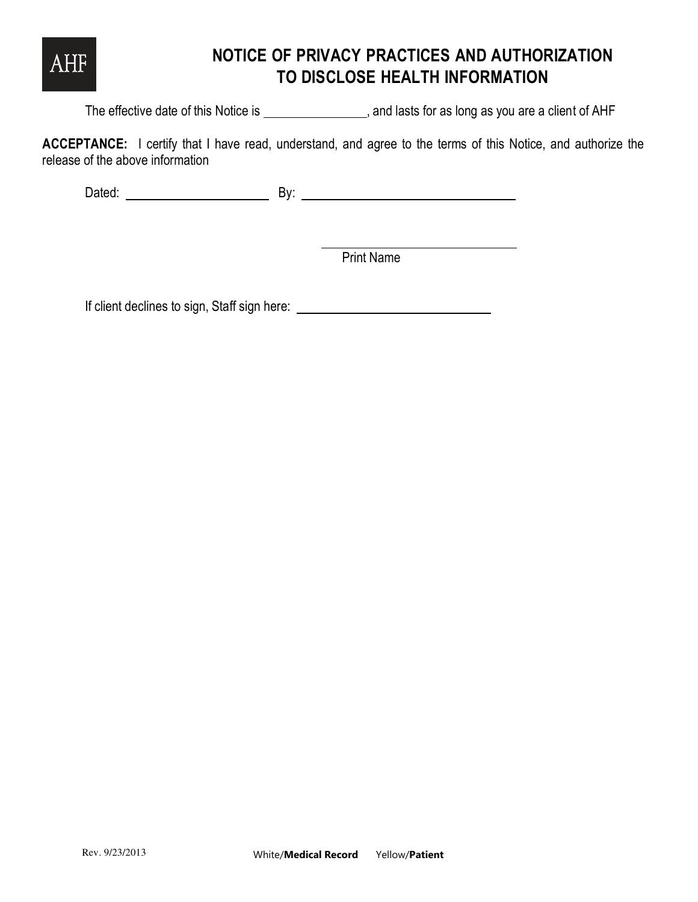

# NOTICE OF PRIVACY PRACTICES AND AUTHORIZATION TO DISCLOSE HEALTH INFORMATION

The effective date of this Notice is \_\_\_\_\_\_\_\_\_\_\_\_\_\_\_\_, and lasts for as long as you are a client of AHF

ACCEPTANCE: I certify that I have read, understand, and agree to the terms of this Notice, and authorize the release of the above information

Dated: By:

Print Name

If client declines to sign, Staff sign here: <u>example and set of the state of the state of the state of the state of</u>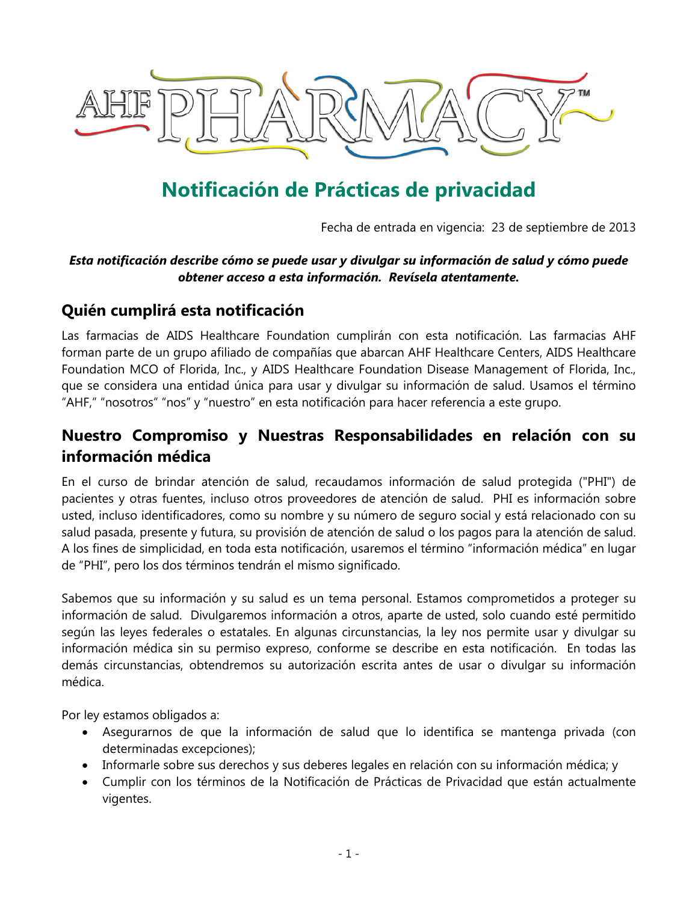

# **Notificación de Prácticas de privacidad**

Fecha de entrada en vigencia: 23 de septiembre de 2013

### *Esta notificación describe cómo se puede usar y divulgar su información de salud y cómo puede obtener acceso a esta información. Revísela atentamente.*

### **Quién cumplirá esta notificación**

Las farmacias de AIDS Healthcare Foundation cumplirán con esta notificación. Las farmacias AHF forman parte de un grupo afiliado de compañías que abarcan AHF Healthcare Centers, AIDS Healthcare Foundation MCO of Florida, Inc., y AIDS Healthcare Foundation Disease Management of Florida, Inc., que se considera una entidad única para usar y divulgar su información de salud. Usamos el término "AHF," "nosotros" "nos" y "nuestro" en esta notificación para hacer referencia a este grupo.

# **Nuestro Compromiso y Nuestras Responsabilidades en relación con su información médica**

En el curso de brindar atención de salud, recaudamos información de salud protegida ("PHI") de pacientes y otras fuentes, incluso otros proveedores de atención de salud. PHI es información sobre usted, incluso identificadores, como su nombre y su número de seguro social y está relacionado con su salud pasada, presente y futura, su provisión de atención de salud o los pagos para la atención de salud. A los fines de simplicidad, en toda esta notificación, usaremos el término "información médica" en lugar de "PHI", pero los dos términos tendrán el mismo significado.

Sabemos que su información y su salud es un tema personal. Estamos comprometidos a proteger su información de salud. Divulgaremos información a otros, aparte de usted, solo cuando esté permitido según las leyes federales o estatales. En algunas circunstancias, la ley nos permite usar y divulgar su información médica sin su permiso expreso, conforme se describe en esta notificación. En todas las demás circunstancias, obtendremos su autorización escrita antes de usar o divulgar su información médica.

Por ley estamos obligados a:

- Asegurarnos de que la información de salud que lo identifica se mantenga privada (con determinadas excepciones);
- Informarle sobre sus derechos y sus deberes legales en relación con su información médica; y
- Cumplir con los términos de la Notificación de Prácticas de Privacidad que están actualmente vigentes.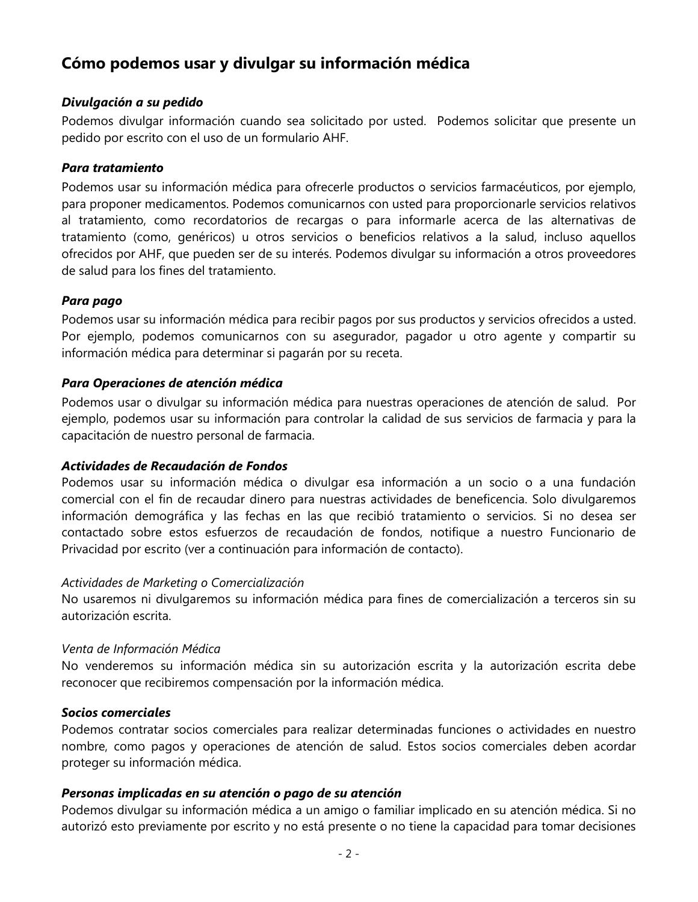# **Cómo podemos usar y divulgar su información médica**

### *Divulgación a su pedido*

Podemos divulgar información cuando sea solicitado por usted. Podemos solicitar que presente un pedido por escrito con el uso de un formulario AHF.

#### *Para tratamiento*

Podemos usar su información médica para ofrecerle productos o servicios farmacéuticos, por ejemplo, para proponer medicamentos. Podemos comunicarnos con usted para proporcionarle servicios relativos al tratamiento, como recordatorios de recargas o para informarle acerca de las alternativas de tratamiento (como, genéricos) u otros servicios o beneficios relativos a la salud, incluso aquellos ofrecidos por AHF, que pueden ser de su interés. Podemos divulgar su información a otros proveedores de salud para los fines del tratamiento.

#### *Para pago*

Podemos usar su información médica para recibir pagos por sus productos y servicios ofrecidos a usted. Por ejemplo, podemos comunicarnos con su asegurador, pagador u otro agente y compartir su información médica para determinar si pagarán por su receta.

#### *Para Operaciones de atención médica*

Podemos usar o divulgar su información médica para nuestras operaciones de atención de salud. Por ejemplo, podemos usar su información para controlar la calidad de sus servicios de farmacia y para la capacitación de nuestro personal de farmacia.

### *Actividades de Recaudación de Fondos*

Podemos usar su información médica o divulgar esa información a un socio o a una fundación comercial con el fin de recaudar dinero para nuestras actividades de beneficencia. Solo divulgaremos información demográfica y las fechas en las que recibió tratamiento o servicios. Si no desea ser contactado sobre estos esfuerzos de recaudación de fondos, notifique a nuestro Funcionario de Privacidad por escrito (ver a continuación para información de contacto).

#### *Actividades de Marketing o Comercialización*

No usaremos ni divulgaremos su información médica para fines de comercialización a terceros sin su autorización escrita.

#### *Venta de Información Médica*

No venderemos su información médica sin su autorización escrita y la autorización escrita debe reconocer que recibiremos compensación por la información médica.

#### *Socios comerciales*

Podemos contratar socios comerciales para realizar determinadas funciones o actividades en nuestro nombre, como pagos y operaciones de atención de salud. Estos socios comerciales deben acordar proteger su información médica.

#### *Personas implicadas en su atención o pago de su atención*

Podemos divulgar su información médica a un amigo o familiar implicado en su atención médica. Si no autorizó esto previamente por escrito y no está presente o no tiene la capacidad para tomar decisiones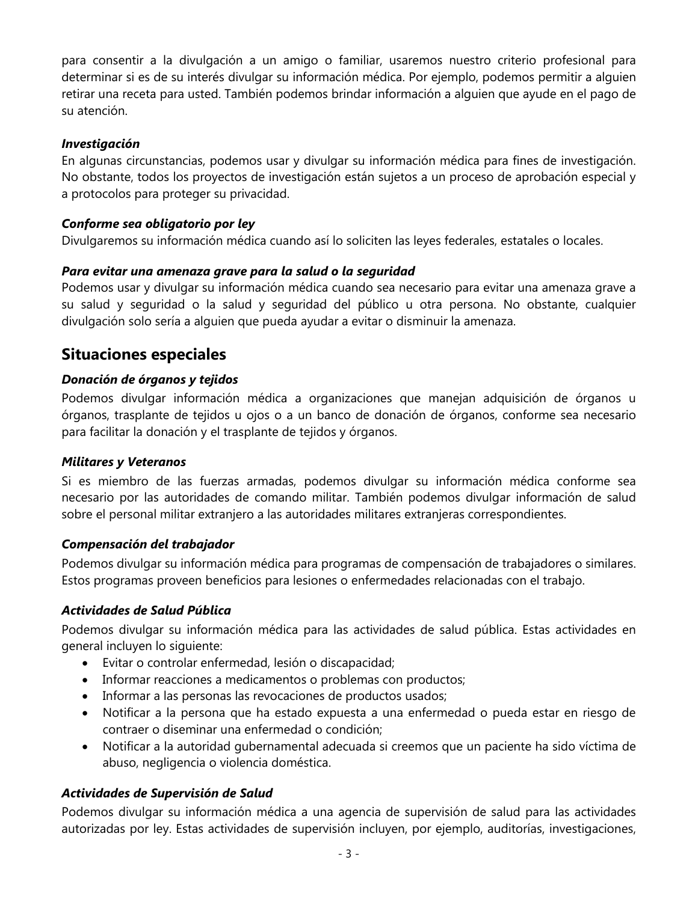para consentir a la divulgación a un amigo o familiar, usaremos nuestro criterio profesional para determinar si es de su interés divulgar su información médica. Por ejemplo, podemos permitir a alguien retirar una receta para usted. También podemos brindar información a alguien que ayude en el pago de su atención.

### *Investigación*

En algunas circunstancias, podemos usar y divulgar su información médica para fines de investigación. No obstante, todos los proyectos de investigación están sujetos a un proceso de aprobación especial y a protocolos para proteger su privacidad.

### *Conforme sea obligatorio por ley*

Divulgaremos su información médica cuando así lo soliciten las leyes federales, estatales o locales.

### *Para evitar una amenaza grave para la salud o la seguridad*

Podemos usar y divulgar su información médica cuando sea necesario para evitar una amenaza grave a su salud y seguridad o la salud y seguridad del público u otra persona. No obstante, cualquier divulgación solo sería a alguien que pueda ayudar a evitar o disminuir la amenaza.

# **Situaciones especiales**

### *Donación de órganos y tejidos*

Podemos divulgar información médica a organizaciones que manejan adquisición de órganos u órganos, trasplante de tejidos u ojos o a un banco de donación de órganos, conforme sea necesario para facilitar la donación y el trasplante de tejidos y órganos.

### *Militares y Veteranos*

Si es miembro de las fuerzas armadas, podemos divulgar su información médica conforme sea necesario por las autoridades de comando militar. También podemos divulgar información de salud sobre el personal militar extranjero a las autoridades militares extranjeras correspondientes.

### *Compensación del trabajador*

Podemos divulgar su información médica para programas de compensación de trabajadores o similares. Estos programas proveen beneficios para lesiones o enfermedades relacionadas con el trabajo.

### *Actividades de Salud Pública*

Podemos divulgar su información médica para las actividades de salud pública. Estas actividades en general incluyen lo siguiente:

- Evitar o controlar enfermedad, lesión o discapacidad;
- Informar reacciones a medicamentos o problemas con productos;
- Informar a las personas las revocaciones de productos usados;
- Notificar a la persona que ha estado expuesta a una enfermedad o pueda estar en riesgo de contraer o diseminar una enfermedad o condición;
- Notificar a la autoridad gubernamental adecuada si creemos que un paciente ha sido víctima de abuso, negligencia o violencia doméstica.

### *Actividades de Supervisión de Salud*

Podemos divulgar su información médica a una agencia de supervisión de salud para las actividades autorizadas por ley. Estas actividades de supervisión incluyen, por ejemplo, auditorías, investigaciones,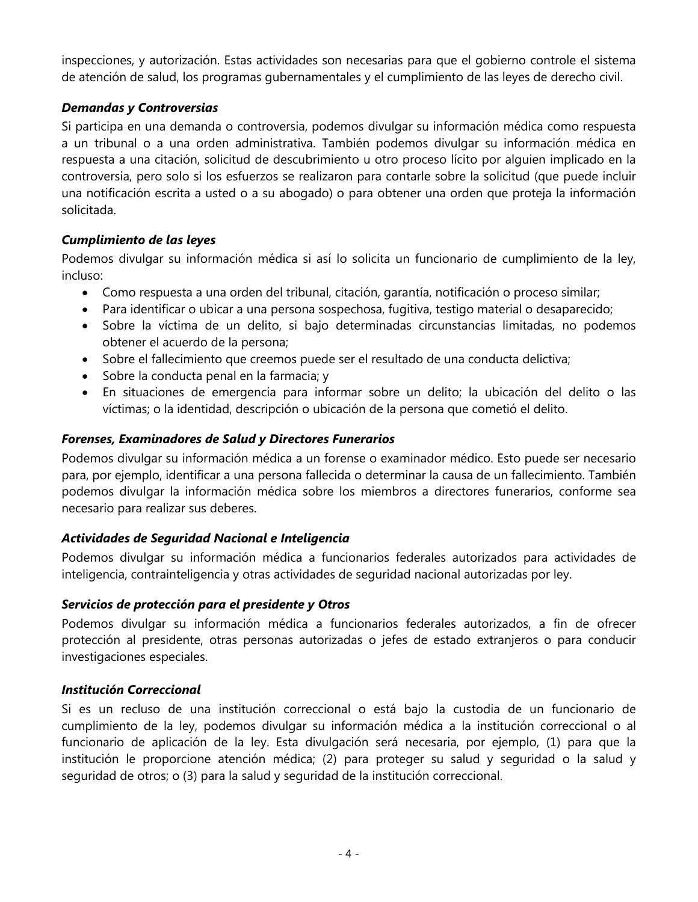inspecciones, y autorización. Estas actividades son necesarias para que el gobierno controle el sistema de atención de salud, los programas gubernamentales y el cumplimiento de las leyes de derecho civil.

### *Demandas y Controversias*

Si participa en una demanda o controversia, podemos divulgar su información médica como respuesta a un tribunal o a una orden administrativa. También podemos divulgar su información médica en respuesta a una citación, solicitud de descubrimiento u otro proceso lícito por alguien implicado en la controversia, pero solo si los esfuerzos se realizaron para contarle sobre la solicitud (que puede incluir una notificación escrita a usted o a su abogado) o para obtener una orden que proteja la información solicitada.

### *Cumplimiento de las leyes*

Podemos divulgar su información médica si así lo solicita un funcionario de cumplimiento de la ley, incluso:

- Como respuesta a una orden del tribunal, citación, garantía, notificación o proceso similar;
- Para identificar o ubicar a una persona sospechosa, fugitiva, testigo material o desaparecido;
- Sobre la víctima de un delito, si bajo determinadas circunstancias limitadas, no podemos obtener el acuerdo de la persona;
- Sobre el fallecimiento que creemos puede ser el resultado de una conducta delictiva;
- Sobre la conducta penal en la farmacia; y
- En situaciones de emergencia para informar sobre un delito; la ubicación del delito o las víctimas; o la identidad, descripción o ubicación de la persona que cometió el delito.

### *Forenses, Examinadores de Salud y Directores Funerarios*

Podemos divulgar su información médica a un forense o examinador médico. Esto puede ser necesario para, por ejemplo, identificar a una persona fallecida o determinar la causa de un fallecimiento. También podemos divulgar la información médica sobre los miembros a directores funerarios, conforme sea necesario para realizar sus deberes.

### *Actividades de Seguridad Nacional e Inteligencia*

Podemos divulgar su información médica a funcionarios federales autorizados para actividades de inteligencia, contrainteligencia y otras actividades de seguridad nacional autorizadas por ley.

### *Servicios de protección para el presidente y Otros*

Podemos divulgar su información médica a funcionarios federales autorizados, a fin de ofrecer protección al presidente, otras personas autorizadas o jefes de estado extranjeros o para conducir investigaciones especiales.

### *Institución Correccional*

Si es un recluso de una institución correccional o está bajo la custodia de un funcionario de cumplimiento de la ley, podemos divulgar su información médica a la institución correccional o al funcionario de aplicación de la ley. Esta divulgación será necesaria, por ejemplo, (1) para que la institución le proporcione atención médica; (2) para proteger su salud y seguridad o la salud y seguridad de otros; o (3) para la salud y seguridad de la institución correccional.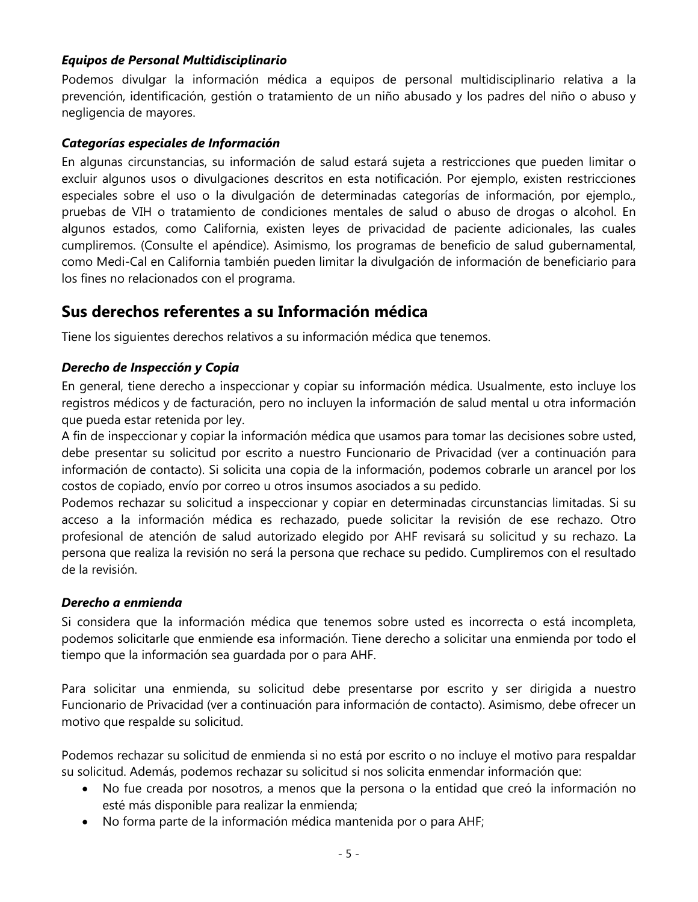### *Equipos de Personal Multidisciplinario*

Podemos divulgar la información médica a equipos de personal multidisciplinario relativa a la prevención, identificación, gestión o tratamiento de un niño abusado y los padres del niño o abuso y negligencia de mayores.

### *Categorías especiales de Información*

En algunas circunstancias, su información de salud estará sujeta a restricciones que pueden limitar o excluir algunos usos o divulgaciones descritos en esta notificación. Por ejemplo, existen restricciones especiales sobre el uso o la divulgación de determinadas categorías de información, por ejemplo*.,* pruebas de VIH o tratamiento de condiciones mentales de salud o abuso de drogas o alcohol. En algunos estados, como California, existen leyes de privacidad de paciente adicionales, las cuales cumpliremos. (Consulte el apéndice). Asimismo, los programas de beneficio de salud gubernamental, como Medi-Cal en California también pueden limitar la divulgación de información de beneficiario para los fines no relacionados con el programa.

# **Sus derechos referentes a su Información médica**

Tiene los siguientes derechos relativos a su información médica que tenemos.

### *Derecho de Inspección y Copia*

En general, tiene derecho a inspeccionar y copiar su información médica. Usualmente, esto incluye los registros médicos y de facturación, pero no incluyen la información de salud mental u otra información que pueda estar retenida por ley.

A fin de inspeccionar y copiar la información médica que usamos para tomar las decisiones sobre usted, debe presentar su solicitud por escrito a nuestro Funcionario de Privacidad (ver a continuación para información de contacto). Si solicita una copia de la información, podemos cobrarle un arancel por los costos de copiado, envío por correo u otros insumos asociados a su pedido.

Podemos rechazar su solicitud a inspeccionar y copiar en determinadas circunstancias limitadas. Si su acceso a la información médica es rechazado, puede solicitar la revisión de ese rechazo. Otro profesional de atención de salud autorizado elegido por AHF revisará su solicitud y su rechazo. La persona que realiza la revisión no será la persona que rechace su pedido. Cumpliremos con el resultado de la revisión.

### *Derecho a enmienda*

Si considera que la información médica que tenemos sobre usted es incorrecta o está incompleta, podemos solicitarle que enmiende esa información. Tiene derecho a solicitar una enmienda por todo el tiempo que la información sea guardada por o para AHF.

Para solicitar una enmienda, su solicitud debe presentarse por escrito y ser dirigida a nuestro Funcionario de Privacidad (ver a continuación para información de contacto). Asimismo, debe ofrecer un motivo que respalde su solicitud.

Podemos rechazar su solicitud de enmienda si no está por escrito o no incluye el motivo para respaldar su solicitud. Además, podemos rechazar su solicitud si nos solicita enmendar información que:

- No fue creada por nosotros, a menos que la persona o la entidad que creó la información no esté más disponible para realizar la enmienda;
- No forma parte de la información médica mantenida por o para AHF;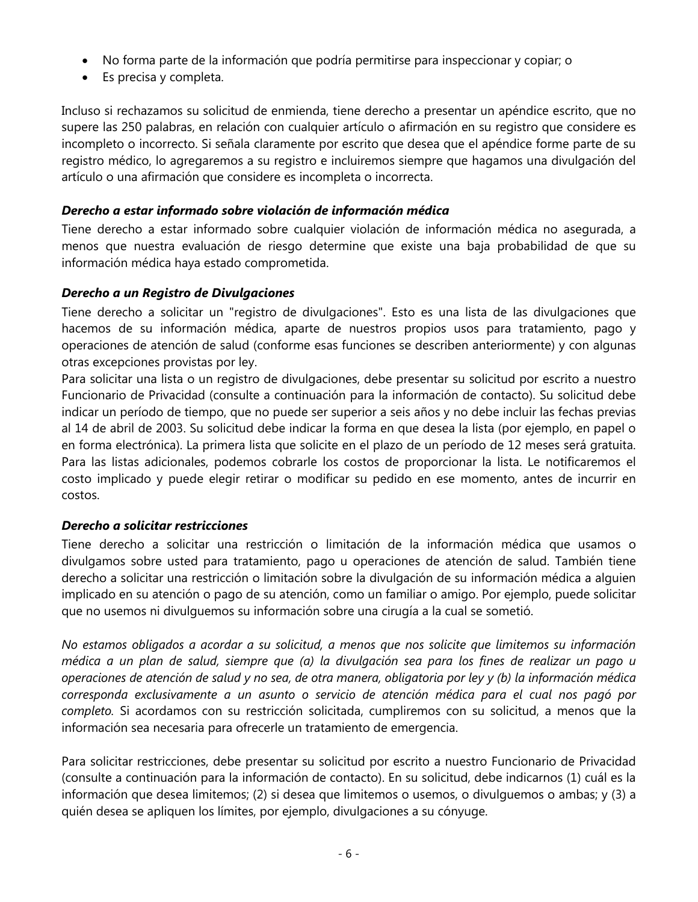- No forma parte de la información que podría permitirse para inspeccionar y copiar; o
- Es precisa y completa.

Incluso si rechazamos su solicitud de enmienda, tiene derecho a presentar un apéndice escrito, que no supere las 250 palabras, en relación con cualquier artículo o afirmación en su registro que considere es incompleto o incorrecto. Si señala claramente por escrito que desea que el apéndice forme parte de su registro médico, lo agregaremos a su registro e incluiremos siempre que hagamos una divulgación del artículo o una afirmación que considere es incompleta o incorrecta.

### *Derecho a estar informado sobre violación de información médica*

Tiene derecho a estar informado sobre cualquier violación de información médica no asegurada, a menos que nuestra evaluación de riesgo determine que existe una baja probabilidad de que su información médica haya estado comprometida.

### *Derecho a un Registro de Divulgaciones*

Tiene derecho a solicitar un "registro de divulgaciones". Esto es una lista de las divulgaciones que hacemos de su información médica, aparte de nuestros propios usos para tratamiento, pago y operaciones de atención de salud (conforme esas funciones se describen anteriormente) y con algunas otras excepciones provistas por ley.

Para solicitar una lista o un registro de divulgaciones, debe presentar su solicitud por escrito a nuestro Funcionario de Privacidad (consulte a continuación para la información de contacto). Su solicitud debe indicar un período de tiempo, que no puede ser superior a seis años y no debe incluir las fechas previas al 14 de abril de 2003. Su solicitud debe indicar la forma en que desea la lista (por ejemplo, en papel o en forma electrónica). La primera lista que solicite en el plazo de un período de 12 meses será gratuita. Para las listas adicionales, podemos cobrarle los costos de proporcionar la lista. Le notificaremos el costo implicado y puede elegir retirar o modificar su pedido en ese momento, antes de incurrir en costos.

### *Derecho a solicitar restricciones*

Tiene derecho a solicitar una restricción o limitación de la información médica que usamos o divulgamos sobre usted para tratamiento, pago u operaciones de atención de salud. También tiene derecho a solicitar una restricción o limitación sobre la divulgación de su información médica a alguien implicado en su atención o pago de su atención, como un familiar o amigo. Por ejemplo, puede solicitar que no usemos ni divulguemos su información sobre una cirugía a la cual se sometió.

*No estamos obligados a acordar a su solicitud, a menos que nos solicite que limitemos su información médica a un plan de salud, siempre que (a) la divulgación sea para los fines de realizar un pago u operaciones de atención de salud y no sea, de otra manera, obligatoria por ley y (b) la información médica corresponda exclusivamente a un asunto o servicio de atención médica para el cual nos pagó por completo.* Si acordamos con su restricción solicitada, cumpliremos con su solicitud, a menos que la información sea necesaria para ofrecerle un tratamiento de emergencia.

Para solicitar restricciones, debe presentar su solicitud por escrito a nuestro Funcionario de Privacidad (consulte a continuación para la información de contacto). En su solicitud, debe indicarnos (1) cuál es la información que desea limitemos; (2) si desea que limitemos o usemos, o divulguemos o ambas; y (3) a quién desea se apliquen los límites, por ejemplo, divulgaciones a su cónyuge.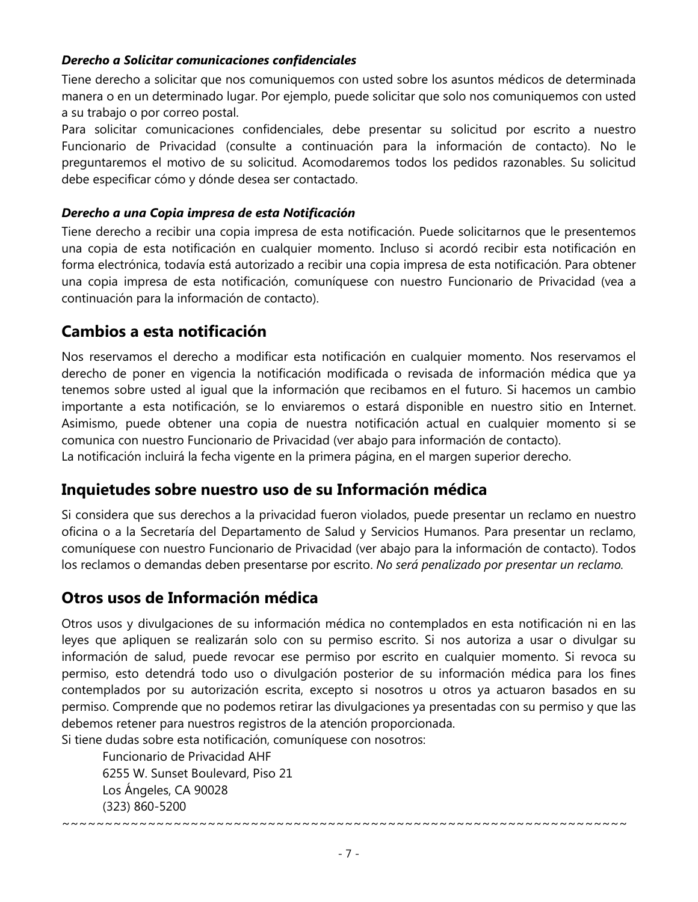### *Derecho a Solicitar comunicaciones confidenciales*

Tiene derecho a solicitar que nos comuniquemos con usted sobre los asuntos médicos de determinada manera o en un determinado lugar. Por ejemplo, puede solicitar que solo nos comuniquemos con usted a su trabajo o por correo postal.

Para solicitar comunicaciones confidenciales, debe presentar su solicitud por escrito a nuestro Funcionario de Privacidad (consulte a continuación para la información de contacto). No le preguntaremos el motivo de su solicitud. Acomodaremos todos los pedidos razonables. Su solicitud debe especificar cómo y dónde desea ser contactado.

### *Derecho a una Copia impresa de esta Notificación*

Tiene derecho a recibir una copia impresa de esta notificación. Puede solicitarnos que le presentemos una copia de esta notificación en cualquier momento. Incluso si acordó recibir esta notificación en forma electrónica, todavía está autorizado a recibir una copia impresa de esta notificación. Para obtener una copia impresa de esta notificación, comuníquese con nuestro Funcionario de Privacidad (vea a continuación para la información de contacto).

### **Cambios a esta notificación**

Nos reservamos el derecho a modificar esta notificación en cualquier momento. Nos reservamos el derecho de poner en vigencia la notificación modificada o revisada de información médica que ya tenemos sobre usted al igual que la información que recibamos en el futuro. Si hacemos un cambio importante a esta notificación, se lo enviaremos o estará disponible en nuestro sitio en Internet. Asimismo, puede obtener una copia de nuestra notificación actual en cualquier momento si se comunica con nuestro Funcionario de Privacidad (ver abajo para información de contacto).

La notificación incluirá la fecha vigente en la primera página, en el margen superior derecho.

### **Inquietudes sobre nuestro uso de su Información médica**

Si considera que sus derechos a la privacidad fueron violados, puede presentar un reclamo en nuestro oficina o a la Secretaría del Departamento de Salud y Servicios Humanos. Para presentar un reclamo, comuníquese con nuestro Funcionario de Privacidad (ver abajo para la información de contacto). Todos los reclamos o demandas deben presentarse por escrito. *No será penalizado por presentar un reclamo.*

### **Otros usos de Información médica**

Otros usos y divulgaciones de su información médica no contemplados en esta notificación ni en las leyes que apliquen se realizarán solo con su permiso escrito. Si nos autoriza a usar o divulgar su información de salud, puede revocar ese permiso por escrito en cualquier momento. Si revoca su permiso, esto detendrá todo uso o divulgación posterior de su información médica para los fines contemplados por su autorización escrita, excepto si nosotros u otros ya actuaron basados en su permiso. Comprende que no podemos retirar las divulgaciones ya presentadas con su permiso y que las debemos retener para nuestros registros de la atención proporcionada.

Si tiene dudas sobre esta notificación, comuníquese con nosotros:

Funcionario de Privacidad AHF 6255 W. Sunset Boulevard, Piso 21 Los Ángeles, CA 90028 (323) 860-5200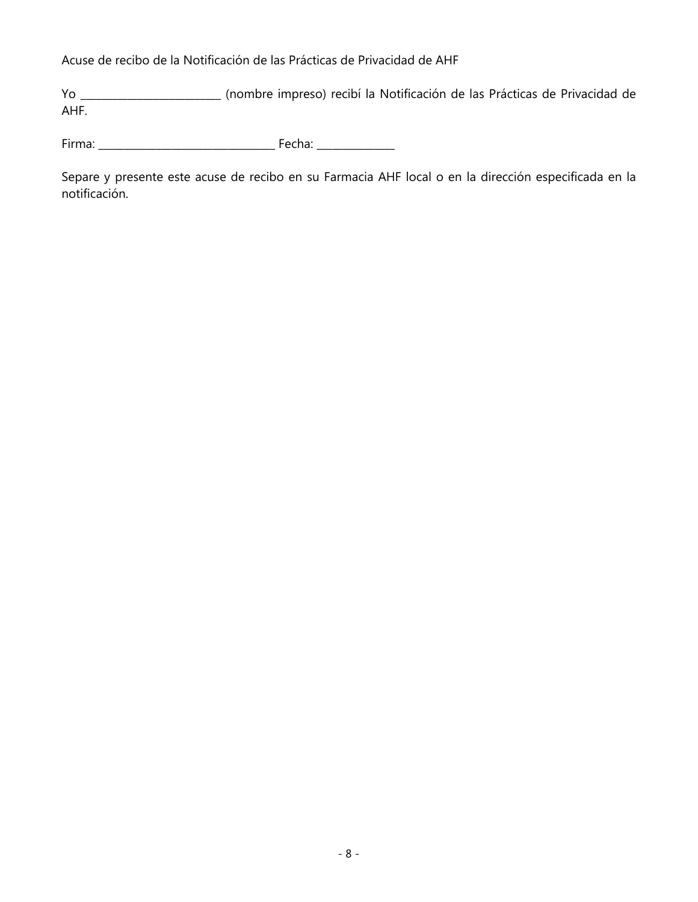Acuse de recibo de la Notificación de las Prácticas de Privacidad de AHF

Yo \_\_\_\_\_\_\_\_\_\_\_\_\_\_\_\_\_\_\_\_\_\_\_\_\_\_\_ (nombre impreso) recibí la Notificación de las Prácticas de Privacidad de AHF.

Firma: \_\_\_\_\_\_\_\_\_\_\_\_\_\_\_\_\_\_\_\_\_\_\_\_\_\_\_\_\_\_\_\_\_\_ Fecha: \_\_\_\_\_\_\_\_\_\_\_\_\_\_\_

Separe y presente este acuse de recibo en su Farmacia AHF local o en la dirección especificada en la notificación.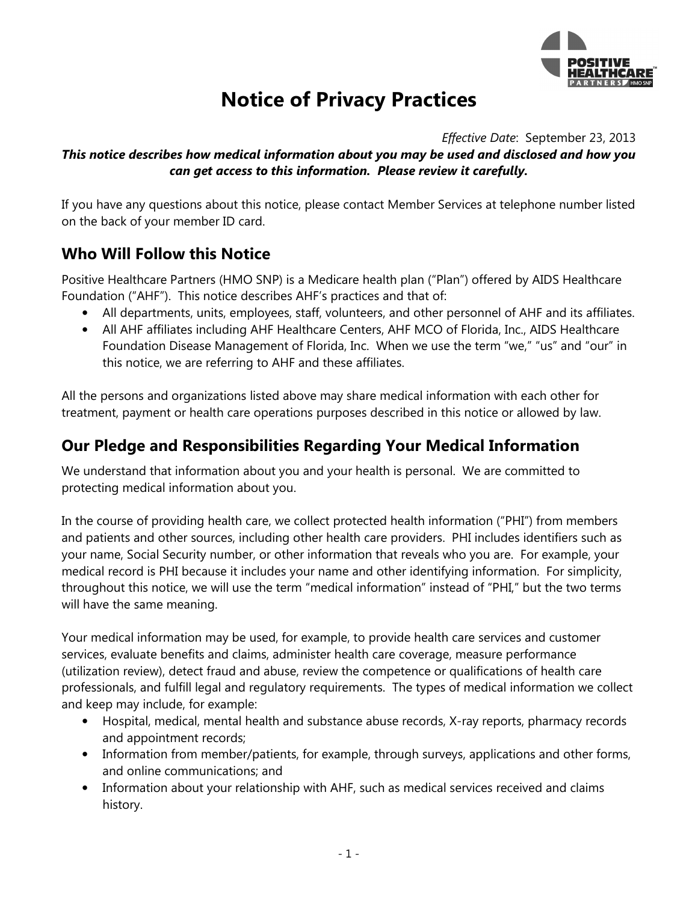

# Notice of Privacy Practices

Effective Date: September 23, 2013

### This notice describes how medical information about you may be used and disclosed and how you can get access to this information. Please review it carefully.

If you have any questions about this notice, please contact Member Services at telephone number listed on the back of your member ID card.

# Who Will Follow this Notice

Positive Healthcare Partners (HMO SNP) is a Medicare health plan ("Plan") offered by AIDS Healthcare Foundation ("AHF"). This notice describes AHF's practices and that of:

- All departments, units, employees, staff, volunteers, and other personnel of AHF and its affiliates.
- All AHF affiliates including AHF Healthcare Centers, AHF MCO of Florida, Inc., AIDS Healthcare Foundation Disease Management of Florida, Inc. When we use the term "we," "us" and "our" in this notice, we are referring to AHF and these affiliates.

All the persons and organizations listed above may share medical information with each other for treatment, payment or health care operations purposes described in this notice or allowed by law.

# Our Pledge and Responsibilities Regarding Your Medical Information

We understand that information about you and your health is personal. We are committed to protecting medical information about you.

In the course of providing health care, we collect protected health information ("PHI") from members and patients and other sources, including other health care providers. PHI includes identifiers such as your name, Social Security number, or other information that reveals who you are. For example, your medical record is PHI because it includes your name and other identifying information. For simplicity, throughout this notice, we will use the term "medical information" instead of "PHI," but the two terms will have the same meaning.

Your medical information may be used, for example, to provide health care services and customer services, evaluate benefits and claims, administer health care coverage, measure performance (utilization review), detect fraud and abuse, review the competence or qualifications of health care professionals, and fulfill legal and regulatory requirements. The types of medical information we collect and keep may include, for example:

- Hospital, medical, mental health and substance abuse records, X-ray reports, pharmacy records and appointment records;
- Information from member/patients, for example, through surveys, applications and other forms, and online communications; and
- Information about your relationship with AHF, such as medical services received and claims history.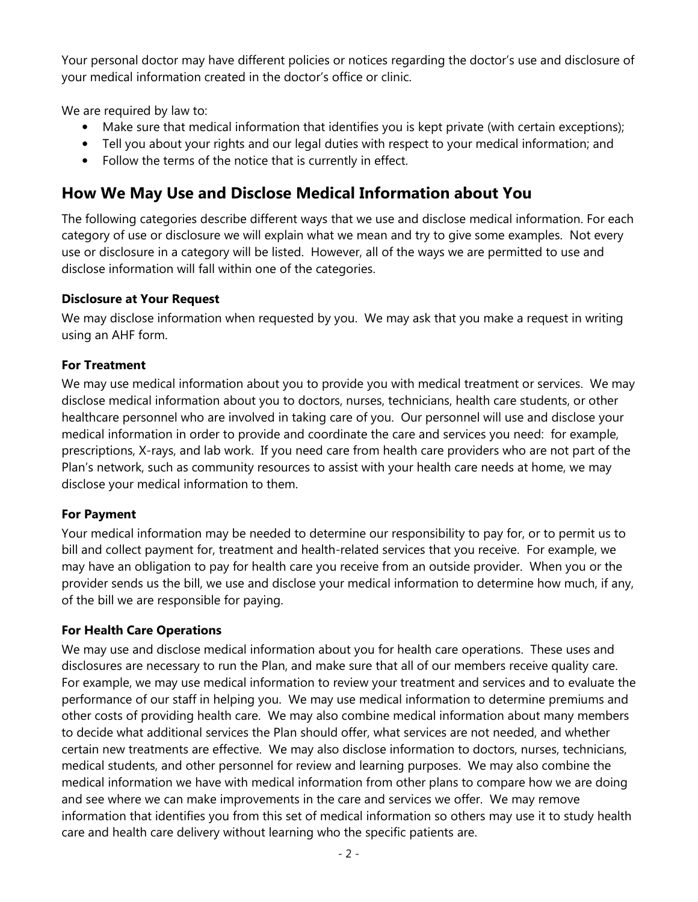Your personal doctor may have different policies or notices regarding the doctor's use and disclosure of your medical information created in the doctor's office or clinic.

We are required by law to:

- Make sure that medical information that identifies you is kept private (with certain exceptions);
- Tell you about your rights and our legal duties with respect to your medical information; and
- Follow the terms of the notice that is currently in effect.

# How We May Use and Disclose Medical Information about You

The following categories describe different ways that we use and disclose medical information. For each category of use or disclosure we will explain what we mean and try to give some examples. Not every use or disclosure in a category will be listed. However, all of the ways we are permitted to use and disclose information will fall within one of the categories.

### Disclosure at Your Request

We may disclose information when requested by you. We may ask that you make a request in writing using an AHF form.

### For Treatment

We may use medical information about you to provide you with medical treatment or services. We may disclose medical information about you to doctors, nurses, technicians, health care students, or other healthcare personnel who are involved in taking care of you. Our personnel will use and disclose your medical information in order to provide and coordinate the care and services you need: for example, prescriptions, X-rays, and lab work. If you need care from health care providers who are not part of the Plan's network, such as community resources to assist with your health care needs at home, we may disclose your medical information to them.

### For Payment

Your medical information may be needed to determine our responsibility to pay for, or to permit us to bill and collect payment for, treatment and health-related services that you receive. For example, we may have an obligation to pay for health care you receive from an outside provider. When you or the provider sends us the bill, we use and disclose your medical information to determine how much, if any, of the bill we are responsible for paying.

### For Health Care Operations

We may use and disclose medical information about you for health care operations. These uses and disclosures are necessary to run the Plan, and make sure that all of our members receive quality care. For example, we may use medical information to review your treatment and services and to evaluate the performance of our staff in helping you. We may use medical information to determine premiums and other costs of providing health care. We may also combine medical information about many members to decide what additional services the Plan should offer, what services are not needed, and whether certain new treatments are effective. We may also disclose information to doctors, nurses, technicians, medical students, and other personnel for review and learning purposes. We may also combine the medical information we have with medical information from other plans to compare how we are doing and see where we can make improvements in the care and services we offer. We may remove information that identifies you from this set of medical information so others may use it to study health care and health care delivery without learning who the specific patients are.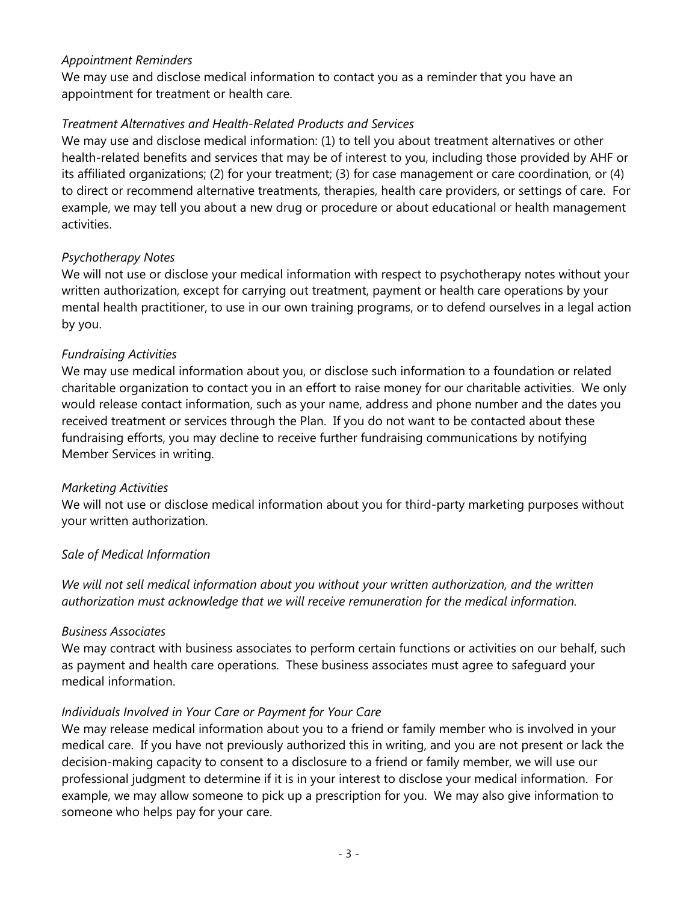### Appointment Reminders

We may use and disclose medical information to contact you as a reminder that you have an appointment for treatment or health care.

### Treatment Alternatives and Health-Related Products and Services

We may use and disclose medical information: (1) to tell you about treatment alternatives or other health-related benefits and services that may be of interest to you, including those provided by AHF or its affiliated organizations; (2) for your treatment; (3) for case management or care coordination, or (4) to direct or recommend alternative treatments, therapies, health care providers, or settings of care. For example, we may tell you about a new drug or procedure or about educational or health management activities.

### Psychotherapy Notes

We will not use or disclose your medical information with respect to psychotherapy notes without your written authorization, except for carrying out treatment, payment or health care operations by your mental health practitioner, to use in our own training programs, or to defend ourselves in a legal action by you.

### Fundraising Activities

We may use medical information about you, or disclose such information to a foundation or related charitable organization to contact you in an effort to raise money for our charitable activities. We only would release contact information, such as your name, address and phone number and the dates you received treatment or services through the Plan. If you do not want to be contacted about these fundraising efforts, you may decline to receive further fundraising communications by notifying Member Services in writing.

### Marketing Activities

We will not use or disclose medical information about you for third-party marketing purposes without your written authorization.

### Sale of Medical Information

We will not sell medical information about you without your written authorization, and the written authorization must acknowledge that we will receive remuneration for the medical information.

### Business Associates

We may contract with business associates to perform certain functions or activities on our behalf, such as payment and health care operations. These business associates must agree to safeguard your medical information.

### Individuals Involved in Your Care or Payment for Your Care

We may release medical information about you to a friend or family member who is involved in your medical care. If you have not previously authorized this in writing, and you are not present or lack the decision-making capacity to consent to a disclosure to a friend or family member, we will use our professional judgment to determine if it is in your interest to disclose your medical information. For example, we may allow someone to pick up a prescription for you. We may also give information to someone who helps pay for your care.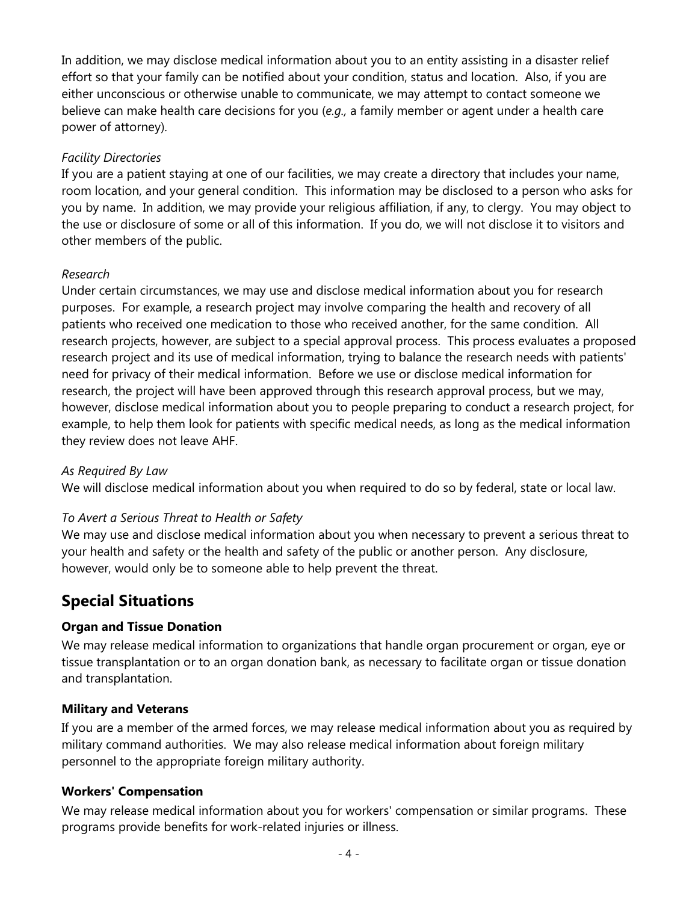In addition, we may disclose medical information about you to an entity assisting in a disaster relief effort so that your family can be notified about your condition, status and location. Also, if you are either unconscious or otherwise unable to communicate, we may attempt to contact someone we believe can make health care decisions for you (e.g., a family member or agent under a health care power of attorney).

### Facility Directories

If you are a patient staying at one of our facilities, we may create a directory that includes your name, room location, and your general condition. This information may be disclosed to a person who asks for you by name. In addition, we may provide your religious affiliation, if any, to clergy. You may object to the use or disclosure of some or all of this information. If you do, we will not disclose it to visitors and other members of the public.

### Research

Under certain circumstances, we may use and disclose medical information about you for research purposes. For example, a research project may involve comparing the health and recovery of all patients who received one medication to those who received another, for the same condition. All research projects, however, are subject to a special approval process. This process evaluates a proposed research project and its use of medical information, trying to balance the research needs with patients' need for privacy of their medical information. Before we use or disclose medical information for research, the project will have been approved through this research approval process, but we may, however, disclose medical information about you to people preparing to conduct a research project, for example, to help them look for patients with specific medical needs, as long as the medical information they review does not leave AHF.

### As Required By Law

We will disclose medical information about you when required to do so by federal, state or local law.

### To Avert a Serious Threat to Health or Safety

We may use and disclose medical information about you when necessary to prevent a serious threat to your health and safety or the health and safety of the public or another person. Any disclosure, however, would only be to someone able to help prevent the threat.

# Special Situations

### Organ and Tissue Donation

We may release medical information to organizations that handle organ procurement or organ, eye or tissue transplantation or to an organ donation bank, as necessary to facilitate organ or tissue donation and transplantation.

### Military and Veterans

If you are a member of the armed forces, we may release medical information about you as required by military command authorities. We may also release medical information about foreign military personnel to the appropriate foreign military authority.

### Workers' Compensation

We may release medical information about you for workers' compensation or similar programs. These programs provide benefits for work-related injuries or illness.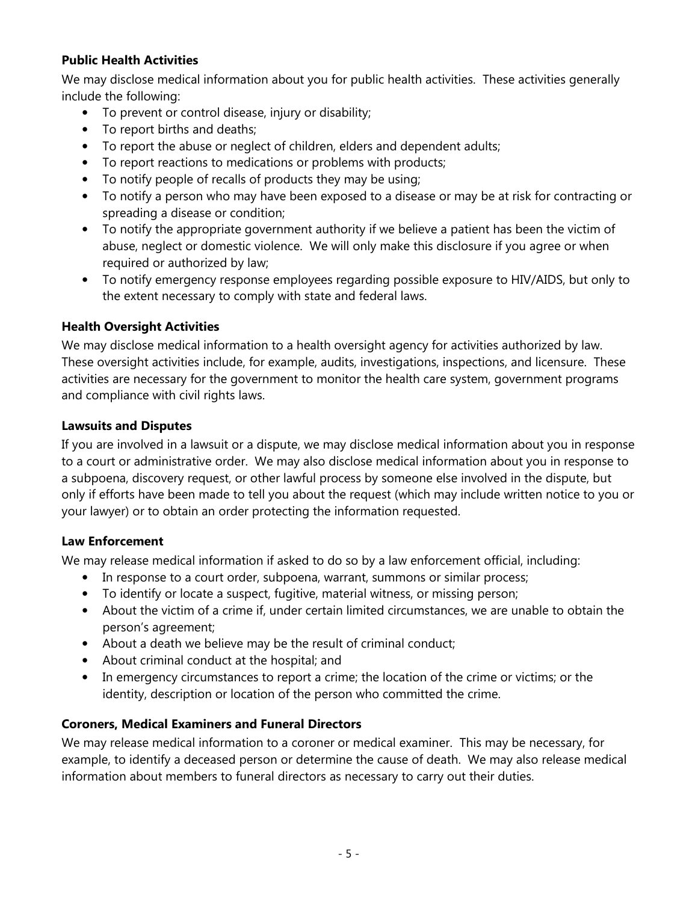### Public Health Activities

We may disclose medical information about you for public health activities. These activities generally include the following:

- To prevent or control disease, injury or disability;
- To report births and deaths;
- To report the abuse or neglect of children, elders and dependent adults;
- To report reactions to medications or problems with products;
- To notify people of recalls of products they may be using;
- To notify a person who may have been exposed to a disease or may be at risk for contracting or spreading a disease or condition;
- To notify the appropriate government authority if we believe a patient has been the victim of abuse, neglect or domestic violence. We will only make this disclosure if you agree or when required or authorized by law;
- To notify emergency response employees regarding possible exposure to HIV/AIDS, but only to the extent necessary to comply with state and federal laws.

### Health Oversight Activities

We may disclose medical information to a health oversight agency for activities authorized by law. These oversight activities include, for example, audits, investigations, inspections, and licensure. These activities are necessary for the government to monitor the health care system, government programs and compliance with civil rights laws.

### Lawsuits and Disputes

If you are involved in a lawsuit or a dispute, we may disclose medical information about you in response to a court or administrative order. We may also disclose medical information about you in response to a subpoena, discovery request, or other lawful process by someone else involved in the dispute, but only if efforts have been made to tell you about the request (which may include written notice to you or your lawyer) or to obtain an order protecting the information requested.

### Law Enforcement

We may release medical information if asked to do so by a law enforcement official, including:

- In response to a court order, subpoena, warrant, summons or similar process;
- To identify or locate a suspect, fugitive, material witness, or missing person;
- About the victim of a crime if, under certain limited circumstances, we are unable to obtain the person's agreement;
- About a death we believe may be the result of criminal conduct;
- About criminal conduct at the hospital; and
- In emergency circumstances to report a crime; the location of the crime or victims; or the identity, description or location of the person who committed the crime.

### Coroners, Medical Examiners and Funeral Directors

We may release medical information to a coroner or medical examiner. This may be necessary, for example, to identify a deceased person or determine the cause of death. We may also release medical information about members to funeral directors as necessary to carry out their duties.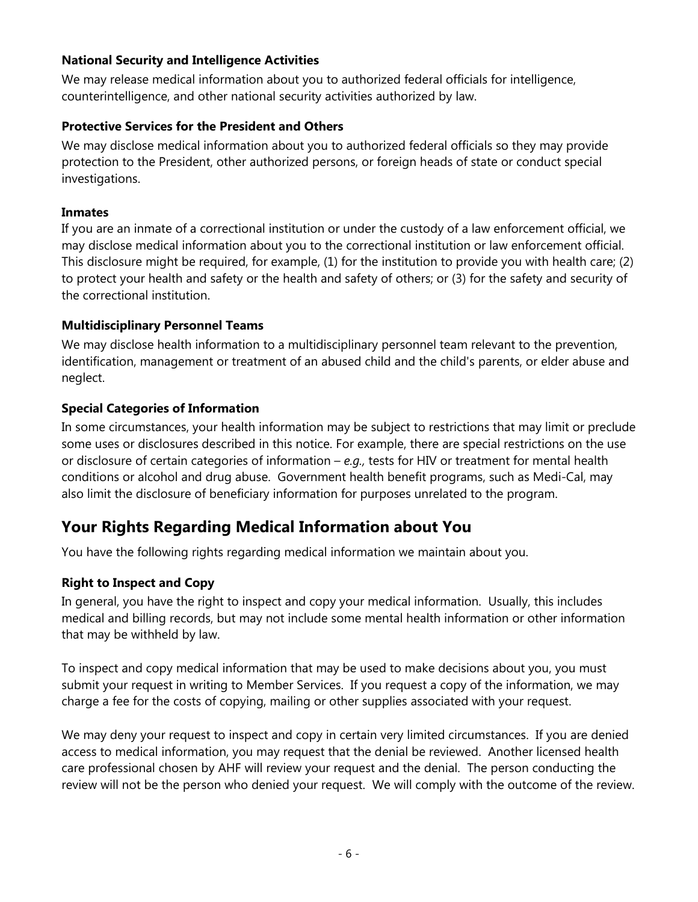### National Security and Intelligence Activities

We may release medical information about you to authorized federal officials for intelligence, counterintelligence, and other national security activities authorized by law.

### Protective Services for the President and Others

We may disclose medical information about you to authorized federal officials so they may provide protection to the President, other authorized persons, or foreign heads of state or conduct special investigations.

### Inmates

If you are an inmate of a correctional institution or under the custody of a law enforcement official, we may disclose medical information about you to the correctional institution or law enforcement official. This disclosure might be required, for example, (1) for the institution to provide you with health care; (2) to protect your health and safety or the health and safety of others; or (3) for the safety and security of the correctional institution.

### Multidisciplinary Personnel Teams

We may disclose health information to a multidisciplinary personnel team relevant to the prevention, identification, management or treatment of an abused child and the child's parents, or elder abuse and neglect.

### Special Categories of Information

In some circumstances, your health information may be subject to restrictions that may limit or preclude some uses or disclosures described in this notice. For example, there are special restrictions on the use or disclosure of certain categories of information – e.g., tests for HIV or treatment for mental health conditions or alcohol and drug abuse. Government health benefit programs, such as Medi-Cal, may also limit the disclosure of beneficiary information for purposes unrelated to the program.

### Your Rights Regarding Medical Information about You

You have the following rights regarding medical information we maintain about you.

### Right to Inspect and Copy

In general, you have the right to inspect and copy your medical information. Usually, this includes medical and billing records, but may not include some mental health information or other information that may be withheld by law.

To inspect and copy medical information that may be used to make decisions about you, you must submit your request in writing to Member Services. If you request a copy of the information, we may charge a fee for the costs of copying, mailing or other supplies associated with your request.

We may deny your request to inspect and copy in certain very limited circumstances. If you are denied access to medical information, you may request that the denial be reviewed. Another licensed health care professional chosen by AHF will review your request and the denial. The person conducting the review will not be the person who denied your request. We will comply with the outcome of the review.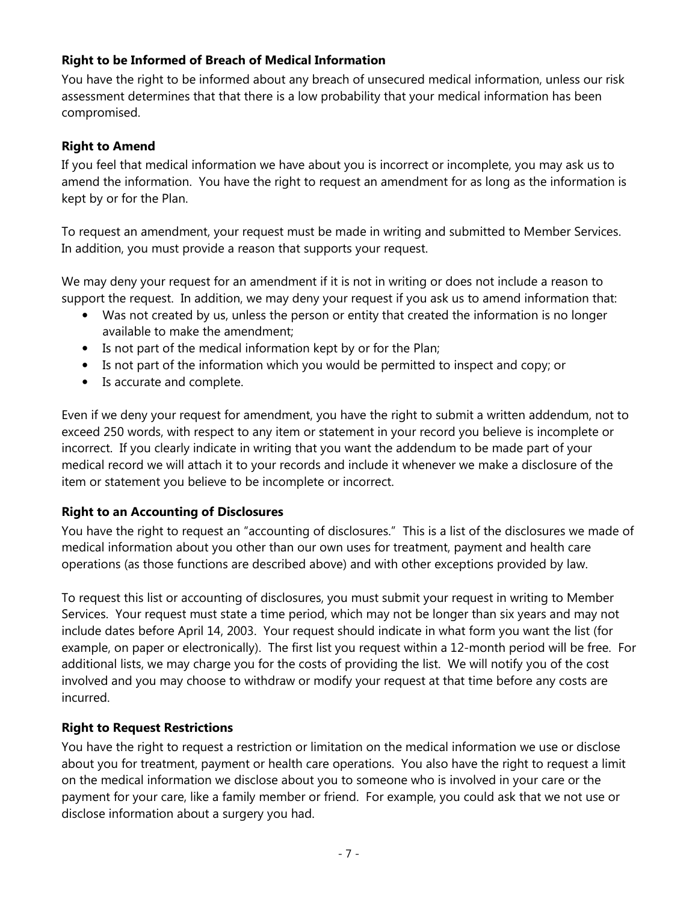### Right to be Informed of Breach of Medical Information

You have the right to be informed about any breach of unsecured medical information, unless our risk assessment determines that that there is a low probability that your medical information has been compromised.

### Right to Amend

If you feel that medical information we have about you is incorrect or incomplete, you may ask us to amend the information. You have the right to request an amendment for as long as the information is kept by or for the Plan.

To request an amendment, your request must be made in writing and submitted to Member Services. In addition, you must provide a reason that supports your request.

We may deny your request for an amendment if it is not in writing or does not include a reason to support the request. In addition, we may deny your request if you ask us to amend information that:

- Was not created by us, unless the person or entity that created the information is no longer available to make the amendment;
- Is not part of the medical information kept by or for the Plan;
- Is not part of the information which you would be permitted to inspect and copy; or
- Is accurate and complete.

Even if we deny your request for amendment, you have the right to submit a written addendum, not to exceed 250 words, with respect to any item or statement in your record you believe is incomplete or incorrect. If you clearly indicate in writing that you want the addendum to be made part of your medical record we will attach it to your records and include it whenever we make a disclosure of the item or statement you believe to be incomplete or incorrect.

### Right to an Accounting of Disclosures

You have the right to request an "accounting of disclosures." This is a list of the disclosures we made of medical information about you other than our own uses for treatment, payment and health care operations (as those functions are described above) and with other exceptions provided by law.

To request this list or accounting of disclosures, you must submit your request in writing to Member Services. Your request must state a time period, which may not be longer than six years and may not include dates before April 14, 2003. Your request should indicate in what form you want the list (for example, on paper or electronically). The first list you request within a 12-month period will be free. For additional lists, we may charge you for the costs of providing the list. We will notify you of the cost involved and you may choose to withdraw or modify your request at that time before any costs are incurred.

### Right to Request Restrictions

You have the right to request a restriction or limitation on the medical information we use or disclose about you for treatment, payment or health care operations. You also have the right to request a limit on the medical information we disclose about you to someone who is involved in your care or the payment for your care, like a family member or friend. For example, you could ask that we not use or disclose information about a surgery you had.